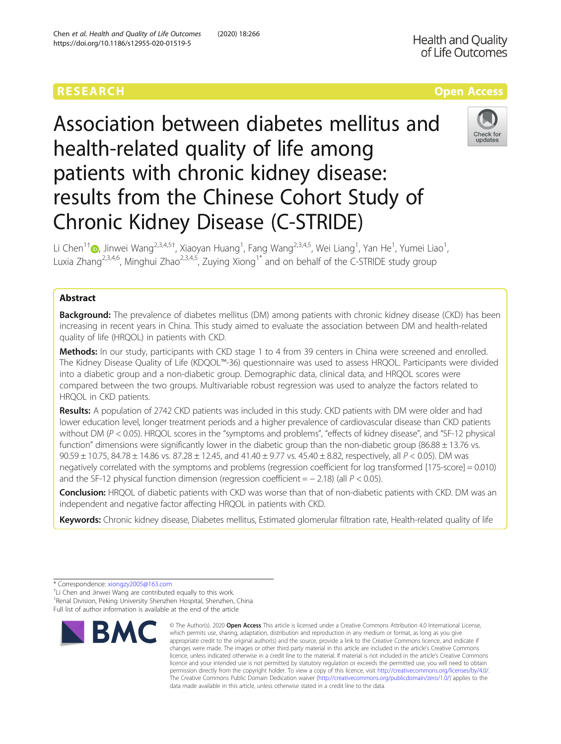Association between diabetes mellitus and health-related quality of life among patients with chronic kidney disease: results from the Chinese Cohort Study of Chronic Kidney Disease (C-STRIDE)



Li Chen<sup>1[†](http://orcid.org/0000-0003-0855-9119)</sup>®, Jinwei Wang<sup>2,3,4,5†</sup>, Xiaoyan Huang<sup>1</sup>, Fang Wang<sup>2,3,4,5</sup>, Wei Liang<sup>1</sup>, Yan He<sup>1</sup>, Yumei Liao<sup>1</sup> , Luxia Zhang<sup>2,3,4,6</sup>, Minghui Zhao<sup>2,3,4,5</sup>, Zuying Xiong<sup>1\*</sup> and on behalf of the C-STRIDE study group

# Abstract

**Background:** The prevalence of diabetes mellitus (DM) among patients with chronic kidney disease (CKD) has been increasing in recent years in China. This study aimed to evaluate the association between DM and health-related quality of life (HRQOL) in patients with CKD.

Methods: In our study, participants with CKD stage 1 to 4 from 39 centers in China were screened and enrolled. The Kidney Disease Quality of Life (KDQOL™-36) questionnaire was used to assess HRQOL. Participants were divided into a diabetic group and a non-diabetic group. Demographic data, clinical data, and HRQOL scores were compared between the two groups. Multivariable robust regression was used to analyze the factors related to HRQOL in CKD patients.

Results: A population of 2742 CKD patients was included in this study. CKD patients with DM were older and had lower education level, longer treatment periods and a higher prevalence of cardiovascular disease than CKD patients without DM (P < 0.05). HRQOL scores in the "symptoms and problems", "effects of kidney disease", and "SF-12 physical function" dimensions were significantly lower in the diabetic group than the non-diabetic group (86.88  $\pm$  13.76 vs. 90.59 ± 10.75, 84.78 ± 14.86 vs. 87.28 ± 12.45, and 41.40 ± 9.77 vs. 45.40 ± 8.82, respectively, all P < 0.05). DM was negatively correlated with the symptoms and problems (regression coefficient for log transformed [175-score] = 0.010) and the SF-12 physical function dimension (regression coefficient =  $-$  2.18) (all  $P$  < 0.05).

Conclusion: HRQOL of diabetic patients with CKD was worse than that of non-diabetic patients with CKD. DM was an independent and negative factor affecting HRQOL in patients with CKD.

Keywords: Chronic kidney disease, Diabetes mellitus, Estimated glomerular filtration rate, Health-related quality of life

<sup>+</sup>Li Chen and Jinwei Wang are contributed equally to this work. <sup>1</sup> Renal Division, Peking University Shenzhen Hospital, Shenzhen, China

Full list of author information is available at the end of the article



<sup>©</sup> The Author(s), 2020 **Open Access** This article is licensed under a Creative Commons Attribution 4.0 International License, which permits use, sharing, adaptation, distribution and reproduction in any medium or format, as long as you give appropriate credit to the original author(s) and the source, provide a link to the Creative Commons licence, and indicate if changes were made. The images or other third party material in this article are included in the article's Creative Commons licence, unless indicated otherwise in a credit line to the material. If material is not included in the article's Creative Commons licence and your intended use is not permitted by statutory regulation or exceeds the permitted use, you will need to obtain permission directly from the copyright holder. To view a copy of this licence, visit [http://creativecommons.org/licenses/by/4.0/.](http://creativecommons.org/licenses/by/4.0/) The Creative Commons Public Domain Dedication waiver [\(http://creativecommons.org/publicdomain/zero/1.0/](http://creativecommons.org/publicdomain/zero/1.0/)) applies to the data made available in this article, unless otherwise stated in a credit line to the data.

<sup>\*</sup> Correspondence: [xiongzy2005@163.com](mailto:xiongzy2005@163.com) †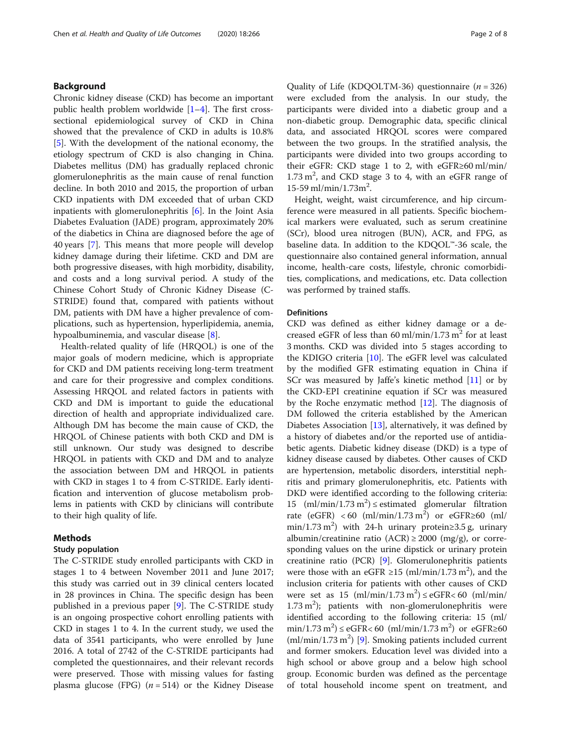### Background

Chronic kidney disease (CKD) has become an important public health problem worldwide  $[1-4]$  $[1-4]$  $[1-4]$  $[1-4]$  $[1-4]$ . The first crosssectional epidemiological survey of CKD in China showed that the prevalence of CKD in adults is 10.8% [[5\]](#page-6-0). With the development of the national economy, the etiology spectrum of CKD is also changing in China. Diabetes mellitus (DM) has gradually replaced chronic glomerulonephritis as the main cause of renal function decline. In both 2010 and 2015, the proportion of urban CKD inpatients with DM exceeded that of urban CKD inpatients with glomerulonephritis [[6\]](#page-6-0). In the Joint Asia Diabetes Evaluation (JADE) program, approximately 20% of the diabetics in China are diagnosed before the age of 40 years [\[7](#page-6-0)]. This means that more people will develop kidney damage during their lifetime. CKD and DM are both progressive diseases, with high morbidity, disability, and costs and a long survival period. A study of the Chinese Cohort Study of Chronic Kidney Disease (C-STRIDE) found that, compared with patients without DM, patients with DM have a higher prevalence of complications, such as hypertension, hyperlipidemia, anemia, hypoalbuminemia, and vascular disease [\[8](#page-6-0)].

Health-related quality of life (HRQOL) is one of the major goals of modern medicine, which is appropriate for CKD and DM patients receiving long-term treatment and care for their progressive and complex conditions. Assessing HRQOL and related factors in patients with CKD and DM is important to guide the educational direction of health and appropriate individualized care. Although DM has become the main cause of CKD, the HRQOL of Chinese patients with both CKD and DM is still unknown. Our study was designed to describe HRQOL in patients with CKD and DM and to analyze the association between DM and HRQOL in patients with CKD in stages 1 to 4 from C-STRIDE. Early identification and intervention of glucose metabolism problems in patients with CKD by clinicians will contribute to their high quality of life.

### Methods

### Study population

The C-STRIDE study enrolled participants with CKD in stages 1 to 4 between November 2011 and June 2017; this study was carried out in 39 clinical centers located in 28 provinces in China. The specific design has been published in a previous paper [\[9](#page-6-0)]. The C-STRIDE study is an ongoing prospective cohort enrolling patients with CKD in stages 1 to 4. In the current study, we used the data of 3541 participants, who were enrolled by June 2016. A total of 2742 of the C-STRIDE participants had completed the questionnaires, and their relevant records were preserved. Those with missing values for fasting plasma glucose (FPG)  $(n = 514)$  or the Kidney Disease Quality of Life (KDQOLTM-36) questionnaire  $(n = 326)$ were excluded from the analysis. In our study, the participants were divided into a diabetic group and a non-diabetic group. Demographic data, specific clinical data, and associated HRQOL scores were compared between the two groups. In the stratified analysis, the participants were divided into two groups according to their eGFR: CKD stage 1 to 2, with eGFR≥60 ml/min/  $1.73 \text{ m}^2$ , and CKD stage 3 to 4, with an eGFR range of 15-59 ml/min/1.73m<sup>2</sup> .

Height, weight, waist circumference, and hip circumference were measured in all patients. Specific biochemical markers were evaluated, such as serum creatinine (SCr), blood urea nitrogen (BUN), ACR, and FPG, as baseline data. In addition to the KDQOL™-36 scale, the questionnaire also contained general information, annual income, health-care costs, lifestyle, chronic comorbidities, complications, and medications, etc. Data collection was performed by trained staffs.

### **Definitions**

CKD was defined as either kidney damage or a decreased eGFR of less than 60 ml/min/1.73 m<sup>2</sup> for at least 3 months. CKD was divided into 5 stages according to the KDIGO criteria [\[10](#page-7-0)]. The eGFR level was calculated by the modified GFR estimating equation in China if SCr was measured by Jaffe's kinetic method [[11\]](#page-7-0) or by the CKD-EPI creatinine equation if SCr was measured by the Roche enzymatic method  $[12]$ . The diagnosis of DM followed the criteria established by the American Diabetes Association [\[13\]](#page-7-0), alternatively, it was defined by a history of diabetes and/or the reported use of antidiabetic agents. Diabetic kidney disease (DKD) is a type of kidney disease caused by diabetes. Other causes of CKD are hypertension, metabolic disorders, interstitial nephritis and primary glomerulonephritis, etc. Patients with DKD were identified according to the following criteria: 15 (ml/min/1.73 m<sup>2</sup>)  $\le$  estimated glomerular filtration rate (eGFR) <60 (ml/min/1.73 m<sup>2</sup>) or eGFR≥60 (ml/ min/1.73 m<sup>2</sup>) with 24-h urinary protein 
gas 3.5 g, urinary albumin/creatinine ratio (ACR)  $\geq$  2000 (mg/g), or corresponding values on the urine dipstick or urinary protein creatinine ratio (PCR) [\[9](#page-6-0)]. Glomerulonephritis patients were those with an eGFR  $\geq$ 15 (ml/min/1.73 m<sup>2</sup>), and the inclusion criteria for patients with other causes of CKD were set as  $15 \text{ (ml/min/1.73 m}^2) \le \text{eGFR} < 60 \text{ (ml/min/1.73 m}^2)$  $1.73 \text{ m}^2$ ); patients with non-glomerulonephritis were identified according to the following criteria: 15 (ml/  $\min/1.73 \,\mathrm{m}^2$ )  $\leq$  eGFR $<$  60 (ml/min/1.73 m<sup>2</sup>) or eGFR $\geq$ 60  $(ml/min/1.73 m<sup>2</sup>)$  [\[9](#page-6-0)]. Smoking patients included current and former smokers. Education level was divided into a high school or above group and a below high school group. Economic burden was defined as the percentage of total household income spent on treatment, and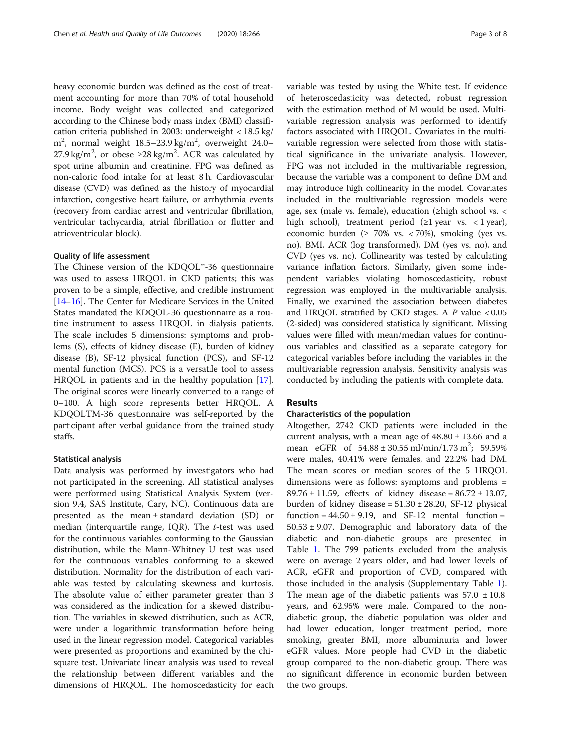heavy economic burden was defined as the cost of treatment accounting for more than 70% of total household income. Body weight was collected and categorized according to the Chinese body mass index (BMI) classification criteria published in 2003: underweight < 18.5 kg/  $\text{m}^2$ , normal weight 18.5–23.9 kg/m<sup>2</sup>, overweight 24.0– 27.9 kg/m<sup>2</sup>, or obese  $\geq$ 28 kg/m<sup>2</sup>. ACR was calculated by spot urine albumin and creatinine. FPG was defined as non-caloric food intake for at least 8 h. Cardiovascular disease (CVD) was defined as the history of myocardial infarction, congestive heart failure, or arrhythmia events (recovery from cardiac arrest and ventricular fibrillation, ventricular tachycardia, atrial fibrillation or flutter and atrioventricular block).

### Quality of life assessment

The Chinese version of the KDQOL™-36 questionnaire was used to assess HRQOL in CKD patients; this was proven to be a simple, effective, and credible instrument [[14](#page-7-0)–[16](#page-7-0)]. The Center for Medicare Services in the United States mandated the KDQOL-36 questionnaire as a routine instrument to assess HRQOL in dialysis patients. The scale includes 5 dimensions: symptoms and problems (S), effects of kidney disease (E), burden of kidney disease (B), SF-12 physical function (PCS), and SF-12 mental function (MCS). PCS is a versatile tool to assess HRQOL in patients and in the healthy population [\[17](#page-7-0)]. The original scores were linearly converted to a range of 0–100. A high score represents better HRQOL. A KDQOLTM-36 questionnaire was self-reported by the participant after verbal guidance from the trained study staffs.

### Statistical analysis

Data analysis was performed by investigators who had not participated in the screening. All statistical analyses were performed using Statistical Analysis System (version 9.4, SAS Institute, Cary, NC). Continuous data are presented as the mean ± standard deviation (SD) or median (interquartile range, IQR). The  $t$ -test was used for the continuous variables conforming to the Gaussian distribution, while the Mann-Whitney U test was used for the continuous variables conforming to a skewed distribution. Normality for the distribution of each variable was tested by calculating skewness and kurtosis. The absolute value of either parameter greater than 3 was considered as the indication for a skewed distribution. The variables in skewed distribution, such as ACR, were under a logarithmic transformation before being used in the linear regression model. Categorical variables were presented as proportions and examined by the chisquare test. Univariate linear analysis was used to reveal the relationship between different variables and the dimensions of HRQOL. The homoscedasticity for each variable was tested by using the White test. If evidence of heteroscedasticity was detected, robust regression with the estimation method of M would be used. Multivariable regression analysis was performed to identify factors associated with HRQOL. Covariates in the multivariable regression were selected from those with statistical significance in the univariate analysis. However, FPG was not included in the multivariable regression, because the variable was a component to define DM and may introduce high collinearity in the model. Covariates included in the multivariable regression models were age, sex (male vs. female), education (≥high school vs. < high school), treatment period  $(\geq 1$  year vs. < 1 year), economic burden ( $\geq 70\%$  vs. < 70%), smoking (yes vs. no), BMI, ACR (log transformed), DM (yes vs. no), and CVD (yes vs. no). Collinearity was tested by calculating variance inflation factors. Similarly, given some independent variables violating homoscedasticity, robust regression was employed in the multivariable analysis. Finally, we examined the association between diabetes and HRQOL stratified by CKD stages. A  $P$  value < 0.05 (2-sided) was considered statistically significant. Missing values were filled with mean/median values for continuous variables and classified as a separate category for categorical variables before including the variables in the multivariable regression analysis. Sensitivity analysis was conducted by including the patients with complete data.

## **Results**

### Characteristics of the population

Altogether, 2742 CKD patients were included in the current analysis, with a mean age of  $48.80 \pm 13.66$  and a mean eGFR of  $54.88 \pm 30.55 \text{ ml/min} / 1.73 \text{ m}^2$ ;  $59.59\%$ were males, 40.41% were females, and 22.2% had DM. The mean scores or median scores of the 5 HRQOL dimensions were as follows: symptoms and problems = 89.76  $\pm$  11.59, effects of kidney disease = 86.72  $\pm$  13.07, burden of kidney disease =  $51.30 \pm 28.20$ , SF-12 physical function =  $44.50 \pm 9.19$ , and SF-12 mental function =  $50.53 \pm 9.07$ . Demographic and laboratory data of the diabetic and non-diabetic groups are presented in Table [1.](#page-3-0) The 799 patients excluded from the analysis were on average 2 years older, and had lower levels of ACR, eGFR and proportion of CVD, compared with those included in the analysis (Supplementary Table [1](#page-6-0)). The mean age of the diabetic patients was  $57.0 \pm 10.8$ years, and 62.95% were male. Compared to the nondiabetic group, the diabetic population was older and had lower education, longer treatment period, more smoking, greater BMI, more albuminuria and lower eGFR values. More people had CVD in the diabetic group compared to the non-diabetic group. There was no significant difference in economic burden between the two groups.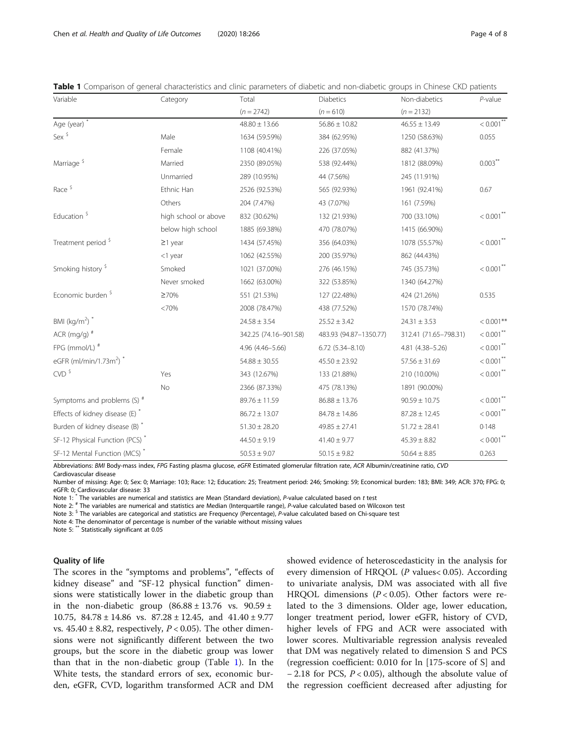| Variable                                       | Category             | Total                 | Diabetics              | Non-diabetics         | $P$ -value              |
|------------------------------------------------|----------------------|-----------------------|------------------------|-----------------------|-------------------------|
|                                                |                      | $(n = 2742)$          | $(n = 610)$            | $(n = 2132)$          |                         |
| Age (year) *                                   |                      | $48.80 \pm 13.66$     | $56.86 \pm 10.82$      | $46.55 \pm 13.49$     | $< 0.001$ <sup>**</sup> |
| Sex $\frac{5}{3}$                              | Male                 | 1634 (59.59%)         | 384 (62.95%)           | 1250 (58.63%)         | 0.055                   |
|                                                | Female               | 1108 (40.41%)         | 226 (37.05%)           | 882 (41.37%)          |                         |
| Marriage <sup>\$</sup>                         | Married              | 2350 (89.05%)         | 538 (92.44%)           | 1812 (88.09%)         | $0.003$ **              |
|                                                | Unmarried            | 289 (10.95%)          | 44 (7.56%)             | 245 (11.91%)          |                         |
| Race <sup>\$</sup>                             | Ethnic Han           | 2526 (92.53%)         | 565 (92.93%)           | 1961 (92.41%)         | 0.67                    |
|                                                | Others               | 204 (7.47%)           | 43 (7.07%)             | 161 (7.59%)           |                         |
| Education <sup>\$</sup>                        | high school or above | 832 (30.62%)          | 132 (21.93%)           | 700 (33.10%)          | $< 0.001$ **            |
|                                                | below high school    | 1885 (69.38%)         | 470 (78.07%)           | 1415 (66.90%)         |                         |
| Treatment period <sup>\$</sup>                 | $\geq$ 1 year        | 1434 (57.45%)         | 356 (64.03%)           | 1078 (55.57%)         | $< 0.001$ <sup>**</sup> |
|                                                | <1 year              | 1062 (42.55%)         | 200 (35.97%)           | 862 (44.43%)          |                         |
| Smoking history <sup>5</sup>                   | Smoked               | 1021 (37.00%)         | 276 (46.15%)           | 745 (35.73%)          | $< 0.001$ **            |
|                                                | Never smoked         | 1662 (63.00%)         | 322 (53.85%)           | 1340 (64.27%)         |                         |
| Economic burden <sup>\$</sup>                  | ≥70%                 | 551 (21.53%)          | 127 (22.48%)           | 424 (21.26%)          | 0.535                   |
|                                                | <70%                 | 2008 (78.47%)         | 438 (77.52%)           | 1570 (78.74%)         |                         |
| BMI ( $\text{kg/m}^2$ ) *                      |                      | $24.58 \pm 3.54$      | $25.52 \pm 3.42$       | $24.31 \pm 3.53$      | $< 0.001$ **            |
| ACR (mg/g) $#$                                 |                      | 342.25 (74.16-901.58) | 483.93 (94.87-1350.77) | 312.41 (71.65-798.31) | $< 0.001$ <sup>**</sup> |
| FPG (mmol/L) #                                 |                      | 4.96 (4.46-5.66)      | $6.72$ $(5.34 - 8.10)$ | 4.81 (4.38-5.26)      | $< 0.001$ **            |
| eGFR (ml/min/1.73m <sup>2</sup> ) <sup>*</sup> |                      | $54.88 \pm 30.55$     | $45.50 \pm 23.92$      | $57.56 \pm 31.69$     | $< 0.001$ <sup>**</sup> |
| $CVD$ $\frac{5}{5}$                            | Yes                  | 343 (12.67%)          | 133 (21.88%)           | 210 (10.00%)          | $< 0.001$ **            |
|                                                | No                   | 2366 (87.33%)         | 475 (78.13%)           | 1891 (90.00%)         |                         |
| Symptoms and problems $(S)$ <sup>#</sup>       |                      | $89.76 \pm 11.59$     | $86.88 \pm 13.76$      | $90.59 \pm 10.75$     | $< 0.001$ <sup>**</sup> |
| Effects of kidney disease (E) *                |                      | $86.72 \pm 13.07$     | $84.78 \pm 14.86$      | $87.28 \pm 12.45$     | $<0.001^{**}$           |
| Burden of kidney disease (B) *                 |                      | $51.30 \pm 28.20$     | $49.85 \pm 27.41$      | $51.72 \pm 28.41$     | 0.148                   |
| SF-12 Physical Function (PCS)*                 |                      | $44.50 \pm 9.19$      | $41.40 \pm 9.77$       | $45.39 \pm 8.82$      | $< 0.001$ <sup>**</sup> |
| SF-12 Mental Function (MCS)*                   |                      | $50.53 \pm 9.07$      | $50.15 \pm 9.82$       | $50.64 \pm 8.85$      | 0.263                   |

<span id="page-3-0"></span>Table 1 Comparison of general characteristics and clinic parameters of diabetic and non-diabetic groups in Chinese CKD patients

Abbreviations: BMI Body-mass index, FPG Fasting plasma glucose, eGFR Estimated glomerular filtration rate, ACR Albumin/creatinine ratio, CVD Cardiovascular disease

Number of missing: Age: 0; Sex: 0; Marriage: 103; Race: 12; Education: 25; Treatment period: 246; Smoking: 59; Economical burden: 183; BMI: 349; ACR: 370; FPG: 0; eGFR: 0; Cardiovascular disease: 33

Note 1: \* The variables are numerical and statistics are Mean (Standard deviation), P-value calculated based on t test

Note 2: # The variables are numerical and statistics are Median (Interquartile range), P-value calculated based on Wilcoxon test

Note 3:  $5$  The variables are categorical and statistics are Frequency (Percentage), P-value calculated based on Chi-square test

Note 4: The denominator of percentage is number of the variable without missing values

Note 5: \*\* Statistically significant at 0.05

### Quality of life

The scores in the "symptoms and problems", "effects of kidney disease" and "SF-12 physical function" dimensions were statistically lower in the diabetic group than in the non-diabetic group  $(86.88 \pm 13.76 \text{ vs. } 90.59 \pm$ 10.75, 84.78 ± 14.86 vs. 87.28 ± 12.45, and 41.40 ± 9.77 vs.  $45.40 \pm 8.82$ , respectively,  $P < 0.05$ ). The other dimensions were not significantly different between the two groups, but the score in the diabetic group was lower than that in the non-diabetic group (Table 1). In the White tests, the standard errors of sex, economic burden, eGFR, CVD, logarithm transformed ACR and DM

showed evidence of heteroscedasticity in the analysis for every dimension of HRQOL (P values< 0.05). According to univariate analysis, DM was associated with all five HRQOL dimensions ( $P < 0.05$ ). Other factors were related to the 3 dimensions. Older age, lower education, longer treatment period, lower eGFR, history of CVD, higher levels of FPG and ACR were associated with lower scores. Multivariable regression analysis revealed that DM was negatively related to dimension S and PCS (regression coefficient: 0.010 for ln [175-score of S] and − 2.18 for PCS, P < 0.05), although the absolute value of the regression coefficient decreased after adjusting for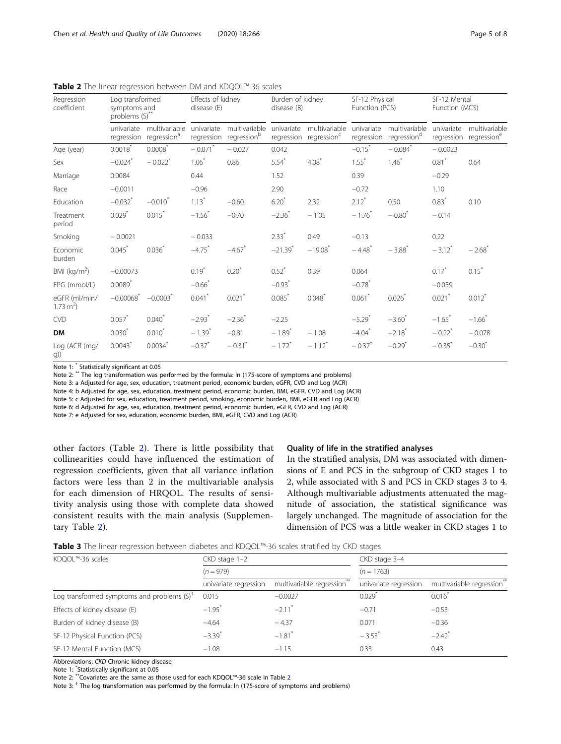| Regression<br>coefficient           | Log transformed<br>symptoms and<br>problems (S)" |                                          | Effects of kidney<br>disease (E) |                              | Burden of kidney<br>disease (B) |                                          | SF-12 Physical<br>Function (PCS) |                                          | SF-12 Mental<br>Function (MCS) |                                                     |
|-------------------------------------|--------------------------------------------------|------------------------------------------|----------------------------------|------------------------------|---------------------------------|------------------------------------------|----------------------------------|------------------------------------------|--------------------------------|-----------------------------------------------------|
|                                     | univariate<br>regression                         | multivariable<br>regression <sup>a</sup> | univariate<br>regression         | multivariable<br>regressionb | univariate<br>regression        | multivariable<br>regression <sup>c</sup> | univariate<br>regression         | multivariable<br>regression <sup>d</sup> | univariate                     | multivariable<br>regression regression <sup>e</sup> |
| Age (year)                          | $0.0018^*$                                       | $0.0008^*$                               | $-0.071$ <sup>*</sup>            | $-0.027$                     | 0.042                           |                                          | $-0.15$ <sup>*</sup>             | $-0.084$ <sup>*</sup>                    | $-0.0023$                      |                                                     |
| Sex                                 | $-0.024$ <sup>*</sup>                            | $-0.022$ <sup>*</sup>                    | $1.06*$                          | 0.86                         | $5.54*$                         | $4.08^*$                                 | $1.55*$                          | $1.46*$                                  | $0.81$ <sup>*</sup>            | 0.64                                                |
| Marriage                            | 0.0084                                           |                                          | 0.44                             |                              | 1.52                            |                                          | 0.39                             |                                          | $-0.29$                        |                                                     |
| Race                                | $-0.0011$                                        |                                          | $-0.96$                          |                              | 2.90                            |                                          | $-0.72$                          |                                          | 1.10                           |                                                     |
| Education                           | $-0.032$ <sup>*</sup>                            | $-0.010^*$                               | $1.13*$                          | $-0.60$                      | $6.20*$                         | 2.32                                     | $2.12^*$                         | 0.50                                     | $0.83*$                        | 0.10                                                |
| Treatment<br>period                 | $0.029$ <sup>*</sup>                             | $0.015$ <sup>*</sup>                     | $-1.56$ <sup>*</sup>             | $-0.70$                      | $-2.36$ *                       | $-1.05$                                  | $-1.76$ <sup>*</sup>             | $-0.80^{*}$                              | $-0.14$                        |                                                     |
| Smoking                             | $-0.0021$                                        |                                          | $-0.033$                         |                              | $2.33*$                         | 0.49                                     | $-0.13$                          |                                          | 0.22                           |                                                     |
| Economic<br>burden                  | 0.045                                            | $0.036*$                                 | $-4.75$ <sup>*</sup>             | $-4.67$ <sup>*</sup>         | $-21.39$ <sup>*</sup>           | $-19.08$ <sup>*</sup>                    | $-4.48$ <sup>*</sup>             | $-3.88$ <sup>*</sup>                     | $-3.12$ <sup>*</sup>           | $-2.68$ <sup>*</sup>                                |
| BMI ( $kg/m2$ )                     | $-0.00073$                                       |                                          | $0.19*$                          | $0.20^*$                     | $0.52^*$                        | 0.39                                     | 0.064                            |                                          | $0.17^*$                       | $0.15*$                                             |
| FPG (mmol/L)                        | $0.0089$ <sup>*</sup>                            |                                          | $-0.66$                          |                              | $-0.93$ <sup>*</sup>            |                                          | $-0.78$ <sup>*</sup>             |                                          | $-0.059$                       |                                                     |
| eGFR (ml/min/<br>$1.73 \text{ m}^2$ | $-0.00068$ <sup>*</sup>                          | $-0.0003$ <sup>*</sup>                   | 0.041                            | $0.021$ <sup>*</sup>         | 0.085                           | 0.048                                    | $0.061$ *                        | $0.026*$                                 | $0.021$ <sup>*</sup>           | $0.012$ <sup>*</sup>                                |
| <b>CVD</b>                          | $0.057$ <sup>*</sup>                             | $0.040^{*}$                              | $-2.93$ <sup>*</sup>             | $-2.36$ <sup>*</sup>         | $-2.25$                         |                                          | $-5.29$ <sup>*</sup>             | $-3.60^*$                                | $-1.65$ <sup>*</sup>           | $-1.66$ <sup>*</sup>                                |
| <b>DM</b>                           | 0.030                                            | $0.010^{*}$                              | $-1.39^{*}$                      | $-0.81$                      | $-1.89$ <sup>*</sup>            | $-1.08$                                  | $-4.04$ <sup>*</sup>             | $-2.18$ <sup>*</sup>                     | $-0.22$ <sup>*</sup>           | $-0.078$                                            |
| Log (ACR (mg/<br>g))                | 0.0043                                           | 0.0034                                   | $-0.37$ <sup>*</sup>             | $-0.31$ <sup>*</sup>         | $-1.72$ <sup>*</sup>            | $-1.12$ <sup>*</sup>                     | $-0.37$ <sup>*</sup>             | $-0.29$ <sup>*</sup>                     | $-0.35$ <sup>*</sup>           | $-0.30^{*}$                                         |

<span id="page-4-0"></span>Table 2 The linear regression between DM and KDQOL™-36 scales

Note 1: \* Statistically significant at 0.05

Note 2: \*\* The log transformation was performed by the formula: ln (175-score of symptoms and problems)

Note 3: a Adjusted for age, sex, education, treatment period, economic burden, eGFR, CVD and Log (ACR)

Note 4: b Adjusted for age, sex, education, treatment period, economic burden, BMI, eGFR, CVD and Log (ACR)

Note 5: c Adjusted for sex, education, treatment period, smoking, economic burden, BMI, eGFR and Log (ACR)

Note 6: d Adjusted for age, sex, education, treatment period, economic burden, eGFR, CVD and Log (ACR)

Note 7: e Adjusted for sex, education, economic burden, BMI, eGFR, CVD and Log (ACR)

other factors (Table 2). There is little possibility that collinearities could have influenced the estimation of regression coefficients, given that all variance inflation factors were less than 2 in the multivariable analysis for each dimension of HRQOL. The results of sensitivity analysis using those with complete data showed consistent results with the main analysis (Supplementary Table [2](#page-6-0)).

### Quality of life in the stratified analyses

In the stratified analysis, DM was associated with dimensions of E and PCS in the subgroup of CKD stages 1 to 2, while associated with S and PCS in CKD stages 3 to 4. Although multivariable adjustments attenuated the magnitude of association, the statistical significance was largely unchanged. The magnitude of association for the dimension of PCS was a little weaker in CKD stages 1 to

| Table 3 The linear regression between diabetes and KDQOL™-36 scales stratified by CKD stages |  |  |
|----------------------------------------------------------------------------------------------|--|--|
|----------------------------------------------------------------------------------------------|--|--|

| KDQOL™-36 scales                              | $CKD$ stage $1-2$     |                            | CKD stage 3-4<br>$(n = 1763)$ |                          |  |
|-----------------------------------------------|-----------------------|----------------------------|-------------------------------|--------------------------|--|
|                                               | $(n = 979)$           |                            |                               |                          |  |
|                                               | univariate regression | multivariable regression** | univariate regression         | multivariable regression |  |
| Log transformed symptoms and problems $(S)^T$ | 0.015                 | $-0.0027$                  | 0.029                         | $0.016^{\degree}$        |  |
| Effects of kidney disease (E)                 | $-1.95$ <sup>*</sup>  | $-2.11$ <sup>*</sup>       | $-0.71$                       | $-0.53$                  |  |
| Burden of kidney disease (B)                  | $-4.64$               | $-4.37$                    | 0.071                         | $-0.36$                  |  |
| SF-12 Physical Function (PCS)                 | $-3.39^{*}$           | $-1.81$ <sup>*</sup>       | $-3.53$ <sup>*</sup>          | $-2.42$ <sup>*</sup>     |  |
| SF-12 Mental Function (MCS)                   | $-1.08$               | $-1.15$                    | 0.33                          | 0.43                     |  |

Abbreviations: CKD Chronic kidney disease

Note 1: \* Statistically significant at 0.05 Note 2: \*\*Covariates are the same as those used for each KDQOL™-36 scale in Table 2

Note 3: † The log transformation was performed by the formula: ln (175-score of symptoms and problems)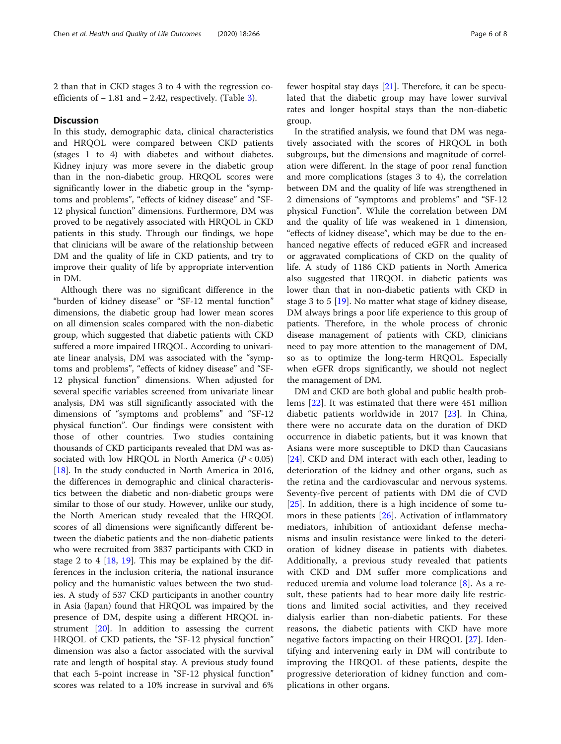2 than that in CKD stages 3 to 4 with the regression coefficients of − 1.81 and − 2.42, respectively. (Table [3\)](#page-4-0).

### **Discussion**

In this study, demographic data, clinical characteristics and HRQOL were compared between CKD patients (stages 1 to 4) with diabetes and without diabetes. Kidney injury was more severe in the diabetic group than in the non-diabetic group. HRQOL scores were significantly lower in the diabetic group in the "symptoms and problems", "effects of kidney disease" and "SF-12 physical function" dimensions. Furthermore, DM was proved to be negatively associated with HRQOL in CKD patients in this study. Through our findings, we hope that clinicians will be aware of the relationship between DM and the quality of life in CKD patients, and try to improve their quality of life by appropriate intervention in DM.

Although there was no significant difference in the "burden of kidney disease" or "SF-12 mental function" dimensions, the diabetic group had lower mean scores on all dimension scales compared with the non-diabetic group, which suggested that diabetic patients with CKD suffered a more impaired HRQOL. According to univariate linear analysis, DM was associated with the "symptoms and problems", "effects of kidney disease" and "SF-12 physical function" dimensions. When adjusted for several specific variables screened from univariate linear analysis, DM was still significantly associated with the dimensions of "symptoms and problems" and "SF-12 physical function". Our findings were consistent with those of other countries. Two studies containing thousands of CKD participants revealed that DM was associated with low HRQOL in North America  $(P < 0.05)$ [[18\]](#page-7-0). In the study conducted in North America in 2016, the differences in demographic and clinical characteristics between the diabetic and non-diabetic groups were similar to those of our study. However, unlike our study, the North American study revealed that the HRQOL scores of all dimensions were significantly different between the diabetic patients and the non-diabetic patients who were recruited from 3837 participants with CKD in stage 2 to 4 [\[18](#page-7-0), [19\]](#page-7-0). This may be explained by the differences in the inclusion criteria, the national insurance policy and the humanistic values between the two studies. A study of 537 CKD participants in another country in Asia (Japan) found that HRQOL was impaired by the presence of DM, despite using a different HRQOL instrument [[20\]](#page-7-0). In addition to assessing the current HRQOL of CKD patients, the "SF-12 physical function" dimension was also a factor associated with the survival rate and length of hospital stay. A previous study found that each 5-point increase in "SF-12 physical function" scores was related to a 10% increase in survival and 6% fewer hospital stay days [[21](#page-7-0)]. Therefore, it can be speculated that the diabetic group may have lower survival rates and longer hospital stays than the non-diabetic group.

In the stratified analysis, we found that DM was negatively associated with the scores of HRQOL in both subgroups, but the dimensions and magnitude of correlation were different. In the stage of poor renal function and more complications (stages 3 to 4), the correlation between DM and the quality of life was strengthened in 2 dimensions of "symptoms and problems" and "SF-12 physical Function". While the correlation between DM and the quality of life was weakened in 1 dimension, "effects of kidney disease", which may be due to the enhanced negative effects of reduced eGFR and increased or aggravated complications of CKD on the quality of life. A study of 1186 CKD patients in North America also suggested that HRQOL in diabetic patients was lower than that in non-diabetic patients with CKD in stage 3 to 5 [[19\]](#page-7-0). No matter what stage of kidney disease, DM always brings a poor life experience to this group of patients. Therefore, in the whole process of chronic disease management of patients with CKD, clinicians need to pay more attention to the management of DM, so as to optimize the long-term HRQOL. Especially when eGFR drops significantly, we should not neglect the management of DM.

DM and CKD are both global and public health problems [[22\]](#page-7-0). It was estimated that there were 451 million diabetic patients worldwide in 2017 [\[23](#page-7-0)]. In China, there were no accurate data on the duration of DKD occurrence in diabetic patients, but it was known that Asians were more susceptible to DKD than Caucasians [[24\]](#page-7-0). CKD and DM interact with each other, leading to deterioration of the kidney and other organs, such as the retina and the cardiovascular and nervous systems. Seventy-five percent of patients with DM die of CVD [[25\]](#page-7-0). In addition, there is a high incidence of some tumors in these patients [\[26\]](#page-7-0). Activation of inflammatory mediators, inhibition of antioxidant defense mechanisms and insulin resistance were linked to the deterioration of kidney disease in patients with diabetes. Additionally, a previous study revealed that patients with CKD and DM suffer more complications and reduced uremia and volume load tolerance [\[8](#page-6-0)]. As a result, these patients had to bear more daily life restrictions and limited social activities, and they received dialysis earlier than non-diabetic patients. For these reasons, the diabetic patients with CKD have more negative factors impacting on their HRQOL [\[27](#page-7-0)]. Identifying and intervening early in DM will contribute to improving the HRQOL of these patients, despite the progressive deterioration of kidney function and complications in other organs.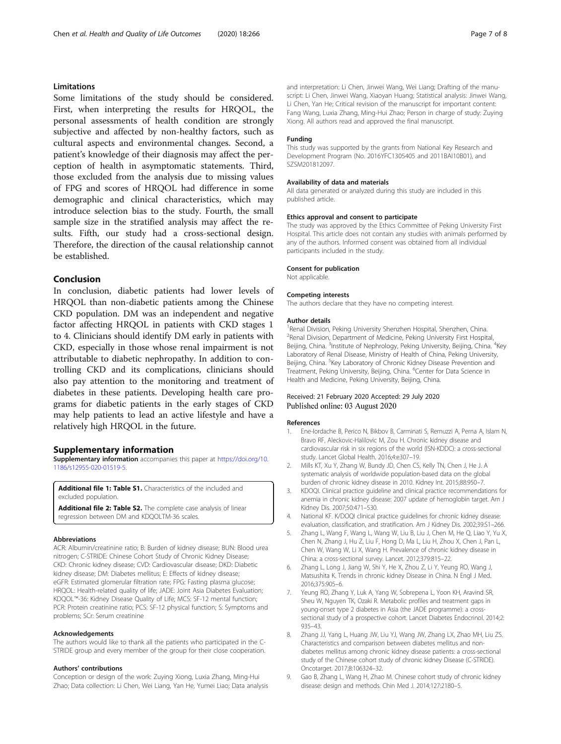### <span id="page-6-0"></span>Limitations

Some limitations of the study should be considered. First, when interpreting the results for HRQOL, the personal assessments of health condition are strongly subjective and affected by non-healthy factors, such as cultural aspects and environmental changes. Second, a patient's knowledge of their diagnosis may affect the perception of health in asymptomatic statements. Third, those excluded from the analysis due to missing values of FPG and scores of HRQOL had difference in some demographic and clinical characteristics, which may introduce selection bias to the study. Fourth, the small sample size in the stratified analysis may affect the results. Fifth, our study had a cross-sectional design. Therefore, the direction of the causal relationship cannot be established.

### Conclusion

In conclusion, diabetic patients had lower levels of HRQOL than non-diabetic patients among the Chinese CKD population. DM was an independent and negative factor affecting HRQOL in patients with CKD stages 1 to 4. Clinicians should identify DM early in patients with CKD, especially in those whose renal impairment is not attributable to diabetic nephropathy. In addition to controlling CKD and its complications, clinicians should also pay attention to the monitoring and treatment of diabetes in these patients. Developing health care programs for diabetic patients in the early stages of CKD may help patients to lead an active lifestyle and have a relatively high HRQOL in the future.

### Supplementary information

Supplementary information accompanies this paper at [https://doi.org/10.](https://doi.org/10.1186/s12955-020-01519-5) [1186/s12955-020-01519-5](https://doi.org/10.1186/s12955-020-01519-5).

Additional file 1: Table S1. Characteristics of the included and excluded population.

Additional file 2: Table S2. The complete case analysis of linear regression between DM and KDQOLTM-36 scales.

#### Abbreviations

ACR: Albumin/creatinine ratio; B: Burden of kidney disease; BUN: Blood urea nitrogen; C-STRIDE: Chinese Cohort Study of Chronic Kidney Disease; CKD: Chronic kidney disease; CVD: Cardiovascular disease; DKD: Diabetic kidney disease; DM: Diabetes mellitus; E: Effects of kidney disease; eGFR: Estimated glomerular filtration rate; FPG: Fasting plasma glucose; HRQOL: Health-related quality of life; JADE: Joint Asia Diabetes Evaluation; KDQOL™-36: Kidney Disease Quality of Life; MCS: SF-12 mental function; PCR: Protein creatinine ratio; PCS: SF-12 physical function; S: Symptoms and problems; SCr: Serum creatinine

#### Acknowledgements

The authors would like to thank all the patients who participated in the C-STRIDE group and every member of the group for their close cooperation.

#### Authors' contributions

Conception or design of the work: Zuying Xiong, Luxia Zhang, Ming-Hui Zhao; Data collection: Li Chen, Wei Liang, Yan He, Yumei Liao; Data analysis and interpretation: Li Chen, Jinwei Wang, Wei Liang; Drafting of the manuscript: Li Chen, Jinwei Wang, Xiaoyan Huang; Statistical analysis: Jinwei Wang, Li Chen, Yan He; Critical revision of the manuscript for important content: Fang Wang, Luxia Zhang, Ming-Hui Zhao; Person in charge of study: Zuying Xiong. All authors read and approved the final manuscript.

#### Funding

This study was supported by the grants from National Key Research and Development Program (No. 2016YFC1305405 and 2011BAI10B01), and SZSM201812097.

#### Availability of data and materials

All data generated or analyzed during this study are included in this published article.

#### Ethics approval and consent to participate

The study was approved by the Ethics Committee of Peking University First Hospital. This article does not contain any studies with animals performed by any of the authors. Informed consent was obtained from all individual participants included in the study.

#### Consent for publication

Not applicable.

#### Competing interests

The authors declare that they have no competing interest.

#### Author details

<sup>1</sup> Renal Division, Peking University Shenzhen Hospital, Shenzhen, China <sup>2</sup> Renal Division, Department of Medicine, Peking University First Hospital Beijing, China. <sup>3</sup>Institute of Nephrology, Peking University, Beijing, China. <sup>4</sup>Key Laboratory of Renal Disease, Ministry of Health of China, Peking University, Beijing, China. <sup>5</sup>Key Laboratory of Chronic Kidney Disease Prevention and Treatment, Peking University, Beijing, China. <sup>6</sup>Center for Data Science in Health and Medicine, Peking University, Beijing, China.

### Received: 21 February 2020 Accepted: 29 July 2020 Published online: 03 August 2020

#### References

- 1. Ene-Iordache B, Perico N, Bikbov B, Carminati S, Remuzzi A, Perna A, Islam N, Bravo RF, Aleckovic-Halilovic M, Zou H. Chronic kidney disease and cardiovascular risk in six regions of the world (ISN-KDDC): a cross-sectional study. Lancet Global Health. 2016;4:e307–19.
- 2. Mills KT, Xu Y, Zhang W, Bundy JD, Chen CS, Kelly TN, Chen J, He J. A systematic analysis of worldwide population-based data on the global burden of chronic kidney disease in 2010. Kidney Int. 2015;88:950–7.
- 3. KDOQI. Clinical practice guideline and clinical practice recommendations for anemia in chronic kidney disease: 2007 update of hemoglobin target. Am J Kidney Dis. 2007;50:471–530.
- 4. National KF. K/DOQI clinical practice guidelines for chronic kidney disease: evaluation, classification, and stratification. Am J Kidney Dis. 2002;39:S1–266.
- 5. Zhang L, Wang F, Wang L, Wang W, Liu B, Liu J, Chen M, He Q, Liao Y, Yu X, Chen N, Zhang J, Hu Z, Liu F, Hong D, Ma L, Liu H, Zhou X, Chen J, Pan L, Chen W, Wang W, Li X, Wang H. Prevalence of chronic kidney disease in China: a cross-sectional survey. Lancet. 2012;379:815–22.
- 6. Zhang L, Long J, Jiang W, Shi Y, He X, Zhou Z, Li Y, Yeung RO, Wang J, Matsushita K. Trends in chronic kidney Disease in China. N Engl J Med. 2016;375:905–6.
- 7. Yeung RO, Zhang Y, Luk A, Yang W, Sobrepena L, Yoon KH, Aravind SR, Sheu W, Nguyen TK, Ozaki R. Metabolic profiles and treatment gaps in young-onset type 2 diabetes in Asia (the JADE programme): a crosssectional study of a prospective cohort. Lancet Diabetes Endocrinol. 2014;2: 935–43.
- 8. Zhang JJ, Yang L, Huang JW, Liu YJ, Wang JW, Zhang LX, Zhao MH, Liu ZS. Characteristics and comparison between diabetes mellitus and nondiabetes mellitus among chronic kidney disease patients: a cross-sectional study of the Chinese cohort study of chronic kidney Disease (C-STRIDE). Oncotarget. 2017;8:106324–32.
- 9. Gao B, Zhang L, Wang H, Zhao M. Chinese cohort study of chronic kidney disease: design and methods. Chin Med J. 2014;127:2180–5.